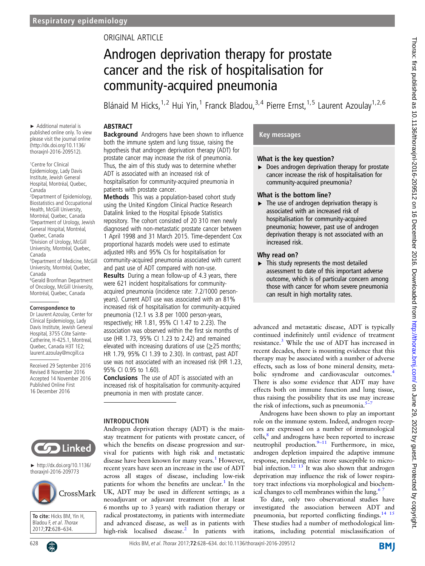# ORIGINAL ARTICLE

# Androgen deprivation therapy for prostate cancer and the risk of hospitalisation for community-acquired pneumonia

Blánaid M Hicks,<sup>1,2</sup> Hui Yin,<sup>1</sup> Franck Bladou,<sup>3,4</sup> Pierre Ernst,<sup>1,5</sup> Laurent Azoulay<sup>1,2,6</sup>

## ABSTRACT

► Additional material is published online only. To view please visit the journal online (http://dx.doi.org/10.1136/ thoraxjnl-2016-209512).

1 Centre for Clinical Epidemiology, Lady Davis Institute, Jewish General Hospital, Montréal, Quebec, Canada 2 Department of Epidemiology, Biostatistics and Occupational Health, McGill University, Montréal, Quebec, Canada 3 Department of Urology, Jewish General Hospital, Montréal, Quebec, Canada 4 Division of Urology, McGill University, Montréal, Quebec, Canada 5 Department of Medicine, McGill University, Montréal, Quebec, Canada 6 Gerald Bronfman Department of Oncology, McGill University, Montréal, Quebec, Canada

#### **Correspondence to**

Dr Laurent Azoulay, Center for Clinical Epidemiology, Lady Davis Institute, Jewish General Hospital, 3755 Côte Sainte-Catherine, H-425.1, Montreal, Quebec, Canada H3T 1E2; laurent.azoulay@mcgill.ca

Received 29 September 2016 Revised 8 November 2016 Accepted 14 November 2016 Published Online First 16 December 2016

**Background** Androgens have been shown to influence both the immune system and lung tissue, raising the hypothesis that androgen deprivation therapy (ADT) for prostate cancer may increase the risk of pneumonia. Thus, the aim of this study was to determine whether ADT is associated with an increased risk of hospitalisation for community-acquired pneumonia in patients with prostate cancer.

Methods This was a population-based cohort study using the United Kingdom Clinical Practice Research Datalink linked to the Hospital Episode Statistics repository. The cohort consisted of 20 310 men newly diagnosed with non-metastatic prostate cancer between 1 April 1998 and 31 March 2015. Time-dependent Cox proportional hazards models were used to estimate adjusted HRs and 95% CIs for hospitalisation for community-acquired pneumonia associated with current and past use of ADT compared with non-use.

Results During a mean follow-up of 4.3 years, there were 621 incident hospitalisations for communityacquired pneumonia (incidence rate: 7.2/1000 personyears). Current ADT use was associated with an 81% increased risk of hospitalisation for community-acquired pneumonia (12.1 vs 3.8 per 1000 person-years, respectively; HR 1.81, 95% CI 1.47 to 2.23). The association was observed within the first six months of use (HR 1.73, 95% CI 1.23 to 2.42) and remained elevated with increasing durations of use  $(≥25$  months; HR 1.79, 95% CI 1.39 to 2.30). In contrast, past ADT use was not associated with an increased risk (HR 1.23, 95% CI 0.95 to 1.60).

Conclusions The use of ADT is associated with an increased risk of hospitalisation for community-acquired pneumonia in men with prostate cancer.

#### INTRODUCTION

Androgen deprivation therapy (ADT) is the mainstay treatment for patients with prostate cancer, of which the benefits on disease progression and survival for patients with high risk and metastatic disease have been known for many years.<sup>[1](#page-5-0)</sup> However, recent years have seen an increase in the use of ADT across all stages of disease, including low-risk patients for whom the benefits are unclear.<sup>[1](#page-5-0)</sup> In the UK, ADT may be used in different settings; as a neoadjuvant or adjuvant treatment (for at least 6 months up to 3 years) with radiation therapy or radical prostatectomy, in patients with intermediate and advanced disease, as well as in patients with high-risk localised disease.<sup>[2](#page-5-0)</sup> In patients with

# Key messages

#### What is the key question?

 $\triangleright$  Does androgen deprivation therapy for prostate cancer increase the risk of hospitalisation for community-acquired pneumonia?

#### What is the bottom line?

 $\blacktriangleright$  The use of androgen deprivation therapy is associated with an increased risk of hospitalisation for community-acquired pneumonia; however, past use of androgen deprivation therapy is not associated with an increased risk.

#### Why read on?

▸ This study represents the most detailed assessment to date of this important adverse outcome, which is of particular concern among those with cancer for whom severe pneumonia can result in high mortality rates.

advanced and metastatic disease, ADT is typically continued indefinitely until evidence of treatment resistance.[3](#page-5-0) While the use of ADT has increased in recent decades, there is mounting evidence that this therapy may be associated with a number of adverse effects, such as loss of bone mineral density, meta-bolic syndrome and cardiovascular outcomes.<sup>[4](#page-5-0)</sup> There is also some evidence that ADT may have effects both on immune function and lung tissue, thus raising the possibility that its use may increase the risk of infections, such as pneumonia. $5$ -

Androgens have been shown to play an important role on the immune system. Indeed, androgen receptors are expressed on a number of immunological cells,<sup>8</sup> and androgens have been reported to increase neutrophil production. $9-11$  $9-11$  Furthermore, in mice, androgen depletion impaired the adaptive immune response, rendering mice more susceptible to microbial infection.<sup>12</sup> <sup>13</sup> It was also shown that androgen deprivation may influence the risk of lower respiratory tract infections via morphological and biochemical changes to cell membranes within the lung. $\frac{6}{7}$ 

To date, only two observational studies have investigated the association between ADT and pneumonia, but reported conflicting findings. $14 \frac{15}{15}$ These studies had a number of methodological limitations, including potential misclassification of

Linked

► http://dx.doi.org/10.1136/ thoraxjnl-2016-209773



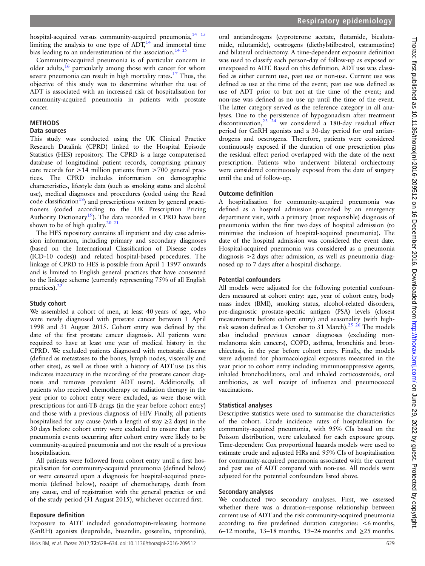hospital-acquired versus community-acquired pneumonia,<sup>14</sup> <sup>15</sup> limiting the analysis to one type of  $ADT<sub>14</sub>$  and immortal time bias leading to an underestimation of the association.<sup>[14 15](#page-6-0)</sup>

Community-acquired pneumonia is of particular concern in older adults,<sup>[16](#page-6-0)</sup> particularly among those with cancer for whom severe pneumonia can result in high mortality rates.<sup>[17](#page-6-0)</sup> Thus, the objective of this study was to determine whether the use of ADT is associated with an increased risk of hospitalisation for community-acquired pneumonia in patients with prostate cancer.

# METHODS

## Data sources

This study was conducted using the UK Clinical Practice Research Datalink (CPRD) linked to the Hospital Episode Statistics (HES) repository. The CPRD is a large computerised database of longitudinal patient records, comprising primary care records for >14 million patients from >700 general practices. The CPRD includes information on demographic characteristics, lifestyle data (such as smoking status and alcohol use), medical diagnoses and procedures (coded using the Read code classification<sup>18</sup>) and prescriptions written by general practitioners (coded according to the UK Prescription Pricing Authority Dictionary<sup>19</sup>). The data recorded in CPRD have been shown to be of high quality.<sup>20</sup> <sup>21</sup>

The HES repository contains all inpatient and day case admission information, including primary and secondary diagnoses (based on the International Classification of Disease codes (ICD-10 codes)) and related hospital-based procedures. The linkage of CPRD to HES is possible from April 1 1997 onwards and is limited to English general practices that have consented to the linkage scheme (currently representing 75% of all English practices).<sup>2</sup>

# Study cohort

We assembled a cohort of men, at least 40 years of age, who were newly diagnosed with prostate cancer between 1 April 1998 and 31 August 2015. Cohort entry was defined by the date of the first prostate cancer diagnosis. All patients were required to have at least one year of medical history in the CPRD. We excluded patients diagnosed with metastatic disease (defined as metastases to the bones, lymph nodes, viscerally and other sites), as well as those with a history of ADT use (as this indicates inaccuracy in the recording of the prostate cancer diagnosis and removes prevalent ADT users). Additionally, all patients who received chemotherapy or radiation therapy in the year prior to cohort entry were excluded, as were those with prescriptions for anti-TB drugs (in the year before cohort entry) and those with a previous diagnosis of HIV. Finally, all patients hospitalised for any cause (with a length of stay  $\geq$  2 days) in the 30 days before cohort entry were excluded to ensure that early pneumonia events occurring after cohort entry were likely to be community-acquired pneumonia and not the result of a previous hospitalisation.

All patients were followed from cohort entry until a first hospitalisation for community-acquired pneumonia (defined below) or were censored upon a diagnosis for hospital-acquired pneumonia (defined below), receipt of chemotherapy, death from any cause, end of registration with the general practice or end of the study period (31 August 2015), whichever occurred first.

# Exposure definition

Exposure to ADT included gonadotropin-releasing hormone (GnRH) agonists (leuprolide, buserelin, goserelin, triptorelin),

oral antiandrogens (cyproterone acetate, flutamide, bicalutamide, nilutamide), oestrogens (diethylstilbestrol, estramustine) and bilateral orchiectomy. A time-dependent exposure definition was used to classify each person-day of follow-up as exposed or unexposed to ADT. Based on this definition, ADT use was classified as either current use, past use or non-use. Current use was defined as use at the time of the event; past use was defined as use of ADT prior to but not at the time of the event; and non-use was defined as no use up until the time of the event. The latter category served as the reference category in all analyses. Due to the persistence of hypogonadism after treatment discontinuation,  $23 \times 24$  we considered a 180-day residual effect period for GnRH agonists and a 30-day period for oral antiandrogens and oestrogens. Therefore, patients were considered continuously exposed if the duration of one prescription plus the residual effect period overlapped with the date of the next prescription. Patients who underwent bilateral orchiectomy were considered continuously exposed from the date of surgery until the end of follow-up.

# Outcome definition

A hospitalisation for community-acquired pneumonia was defined as a hospital admission preceded by an emergency department visit, with a primary (most responsible) diagnosis of pneumonia within the first two days of hospital admission (to minimise the inclusion of hospital-acquired pneumonia). The date of the hospital admission was considered the event date. Hospital-acquired pneumonia was considered as a pneumonia diagnosis >2 days after admission, as well as pneumonia diagnosed up to 7 days after a hospital discharge.

# Potential confounders

All models were adjusted for the following potential confounders measured at cohort entry: age, year of cohort entry, body mass index (BMI), smoking status, alcohol-related disorders, pre-diagnostic prostate-specific antigen (PSA) levels (closest measurement before cohort entry) and seasonality (with high-risk season defined as 1 October to 31 March).<sup>[25 26](#page-6-0)</sup> The models also included previous cancer diagnoses (excluding nonmelanoma skin cancers), COPD, asthma, bronchitis and bronchiectasis, in the year before cohort entry. Finally, the models were adjusted for pharmacological exposures measured in the year prior to cohort entry including immunosuppressive agents, inhaled bronchodilators, oral and inhaled corticosteroids, oral antibiotics, as well receipt of influenza and pneumococcal vaccinations.

# Statistical analyses

Descriptive statistics were used to summarise the characteristics of the cohort. Crude incidence rates of hospitalisation for community-acquired pneumonia, with 95% CIs based on the Poisson distribution, were calculated for each exposure group. Time-dependent Cox proportional hazards models were used to estimate crude and adjusted HRs and 95% CIs of hospitalisation for community-acquired pneumonia associated with the current and past use of ADT compared with non-use. All models were adjusted for the potential confounders listed above.

# Secondary analyses

We conducted two secondary analyses. First, we assessed whether there was a duration–response relationship between current use of ADT and the risk community-acquired pneumonia according to five predefined duration categories: <6 months, 6–12 months, 13–18 months, 19–24 months and  $\geq$ 25 months.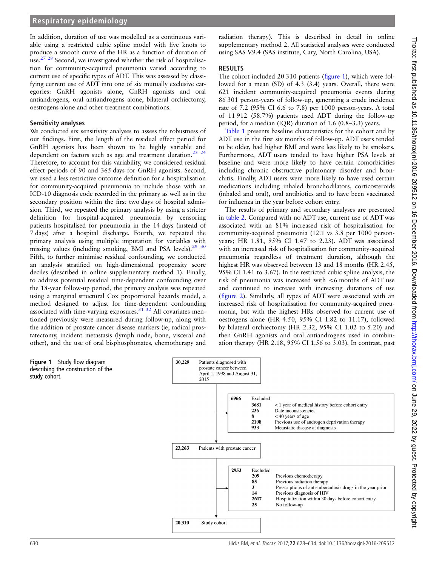## **Respiratory epidemiology**

In addition, duration of use was modelled as a continuous variable using a restricted cubic spline model with five knots to produce a smooth curve of the HR as a function of duration of use.<sup>[27 28](#page-6-0)</sup> Second, we investigated whether the risk of hospitalisation for community-acquired pneumonia varied according to current use of specific types of ADT. This was assessed by classifying current use of ADT into one of six mutually exclusive categories: GnRH agonists alone, GnRH agonists and oral antiandrogens, oral antiandrogens alone, bilateral orchiectomy, oestrogens alone and other treatment combinations.

#### Sensitivity analyses

We conducted six sensitivity analyses to assess the robustness of our findings. First, the length of the residual effect period for GnRH agonists has been shown to be highly variable and dependent on factors such as age and treatment duration.<sup>23</sup><sup>24</sup> Therefore, to account for this variability, we considered residual effect periods of 90 and 365 days for GnRH agonists. Second, we used a less restrictive outcome definition for a hospitalisation for community-acquired pneumonia to include those with an ICD-10 diagnosis code recorded in the primary as well as in the secondary position within the first two days of hospital admission. Third, we repeated the primary analysis by using a stricter definition for hospital-acquired pneumonia by censoring patients hospitalised for pneumonia in the 14 days (instead of 7 days) after a hospital discharge. Fourth, we repeated the primary analysis using multiple imputation for variables with missing values (including smoking, BMI and PSA levels). $2930$ Fifth, to further minimise residual confounding, we conducted an analysis stratified on high-dimensional propensity score deciles (described in online [supplementary method 1](http://dx.doi.org/10.1136/thoraxjnl-2016-209512)). Finally, to address potential residual time-dependent confounding over the 18-year follow-up period, the primary analysis was repeated using a marginal structural Cox proportional hazards model, a method designed to adjust for time-dependent confounding associated with time-varying exposures. $31 \frac{32}{1}$  All covariates mentioned previously were measured during follow-up, along with the addition of prostate cancer disease markers (ie, radical prostatectomy, incident metastasis (lymph node, bone, visceral and other), and the use of oral bisphosphonates, chemotherapy and

radiation therapy). This is described in detail in online [supplementary method 2.](http://dx.doi.org/10.1136/thoraxjnl-2016-209512) All statistical analyses were conducted using SAS V.9.4 (SAS institute, Cary, North Carolina, USA).

## RESULTS

The cohort included 20 310 patients (figure 1), which were followed for a mean (SD) of 4.3 (3.4) years. Overall, there were 621 incident community-acquired pneumonia events during 86 301 person-years of follow-up, generating a crude incidence rate of 7.2 (95% CI 6.6 to 7.8) per 1000 person-years. A total of 11 912 (58.7%) patients used ADT during the follow-up period, for a median (IQR) duration of 1.6 (0.8–3.3) years.

[Table 1](#page-3-0) presents baseline characteristics for the cohort and by ADT use in the first six months of follow-up. ADT users tended to be older, had higher BMI and were less likely to be smokers. Furthermore, ADT users tended to have higher PSA levels at baseline and were more likely to have certain comorbidities including chronic obstructive pulmonary disorder and bronchitis. Finally, ADT users were more likely to have used certain medications including inhaled bronchodilators, corticosteroids (inhaled and oral), oral antibiotics and to have been vaccinated for influenza in the year before cohort entry.

The results of primary and secondary analyses are presented in [table 2](#page-4-0). Compared with no ADT use, current use of ADT was associated with an 81% increased risk of hospitalisation for community-acquired pneumonia (12.1 vs 3.8 per 1000 personyears; HR 1.81, 95% CI 1.47 to 2.23). ADT was associated with an increased risk of hospitalisation for community-acquired pneumonia regardless of treatment duration, although the highest HR was observed between 13 and 18 months (HR 2.45, 95% CI 1.41 to 3.67). In the restricted cubic spline analysis, the risk of pneumonia was increased with <6 months of ADT use and continued to increase with increasing durations of use (fi[gure 2\)](#page-4-0). Similarly, all types of ADT were associated with an increased risk of hospitalisation for community-acquired pneumonia, but with the highest HRs observed for current use of oestrogens alone (HR 4.50, 95% CI 1.82 to 11.17), followed by bilateral orchiectomy (HR 2.32, 95% CI 1.02 to 5.20) and then GnRH agonists and oral antiandrogens used in combination therapy (HR 2.18, 95% CI 1.56 to 3.03). In contrast, past

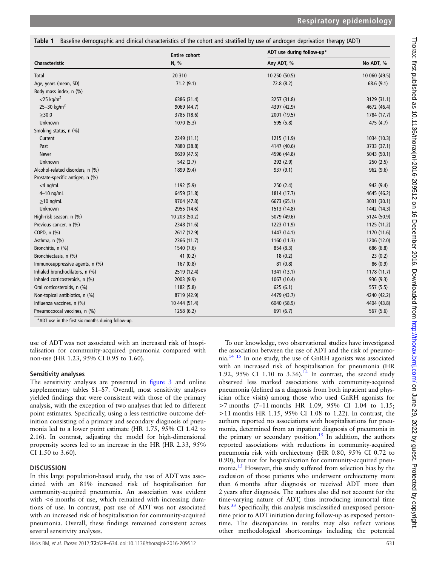<span id="page-3-0"></span>Table 1 Baseline demographic and clinical characteristics of the cohort and stratified by use of androgen deprivation therapy (ADT)

|                                  | <b>Entire cohort</b> | ADT use during follow-up* |               |  |
|----------------------------------|----------------------|---------------------------|---------------|--|
| <b>Characteristic</b>            | N, %                 | Any ADT, %                | No ADT, %     |  |
| Total                            | 20 310               | 10 250 (50.5)             | 10 060 (49.5) |  |
| Age, years (mean, SD)            | 71.2(9.1)            | 72.8 (8.2)                | 68.6 (9.1)    |  |
| Body mass index, n (%)           |                      |                           |               |  |
| $<$ 25 kg/m <sup>2</sup>         | 6386 (31.4)          | 3257 (31.8)               | 3129 (31.1)   |  |
| 25-30 kg/m <sup>2</sup>          | 9069 (44.7)          | 4397 (42.9)               | 4672 (46.4)   |  |
| $\geq$ 30.0                      | 3785 (18.6)          | 2001 (19.5)               | 1784 (17.7)   |  |
| Unknown                          | 1070 (5.3)           | 595 (5.8)                 | 475 (4.7)     |  |
| Smoking status, n (%)            |                      |                           |               |  |
| Current                          | 2249 (11.1)          | 1215 (11.9)               | 1034 (10.3)   |  |
| Past                             | 7880 (38.8)          | 4147 (40.6)               | 3733 (37.1)   |  |
| <b>Never</b>                     | 9639 (47.5)          | 4596 (44.8)               | 5043 (50.1)   |  |
| Unknown                          | 542 (2.7)            | 292 (2.9)                 | 250(2.5)      |  |
| Alcohol-related disorders, n (%) | 1899 (9.4)           | 937 (9.1)                 | 962(9.6)      |  |
| Prostate-specific antigen, n (%) |                      |                           |               |  |
| $<$ 4 ng/mL                      | 1192 (5.9)           | 250 (2.4)                 | 942 (9.4)     |  |
| $4-10$ ng/mL                     | 6459 (31.8)          | 1814 (17.7)               | 4645 (46.2)   |  |
| $\geq$ 10 ng/mL                  | 9704 (47.8)          | 6673 (65.1)               | 3031 (30.1)   |  |
| Unknown                          | 2955 (14.6)          | 1513 (14.8)               | 1442 (14.3)   |  |
| High-risk season, n (%)          | 10 203 (50.2)        | 5079 (49.6)               | 5124 (50.9)   |  |
| Previous cancer, n (%)           | 2348 (11.6)          | 1223 (11.9)               | 1125 (11.2)   |  |
| COPD, n (%)                      | 2617 (12.9)          | 1447 (14.1)               | 1170 (11.6)   |  |
| Asthma, n (%)                    | 2366 (11.7)          | 1160 (11.3)               | 1206 (12.0)   |  |
| Bronchitis, n (%)                | 1540 (7.6)           | 854 (8.3)                 | 686 (6.8)     |  |
| Bronchiectasis, n (%)            | 41(0.2)              | 18(0.2)                   | 23(0.2)       |  |
| Immunosuppressive agents, n (%)  | 167(0.8)             | 81(0.8)                   | 86(0.9)       |  |
| Inhaled bronchodilators, n (%)   | 2519 (12.4)          | 1341 (13.1)               | 1178 (11.7)   |  |
| Inhaled corticosteroids, n (%)   | 2003 (9.9)           | 1067 (10.4)               | 936(9.3)      |  |
| Oral corticosteroids, n (%)      | 1182 (5.8)           | 625(6.1)                  | 557(5.5)      |  |
| Non-topical antibiotics, n (%)   | 8719 (42.9)          | 4479 (43.7)               | 4240 (42.2)   |  |
| Influenza vaccines, n (%)        | 10 444 (51.4)        | 6040 (58.9)               | 4404 (43.8)   |  |
| Pneumococcal vaccines, n (%)     | 1258 (6.2)           | 691 (6.7)                 | 567 (5.6)     |  |

\*ADT use in the first six months during follow-up.

use of ADT was not associated with an increased risk of hospitalisation for community-acquired pneumonia compared with non-use (HR 1.23, 95% CI 0.95 to 1.60).

# Sensitivity analyses

The sensitivity analyses are presented in fi[gure 3](#page-5-0) and online [supplementary tables S1](http://dx.doi.org/10.1136/thoraxjnl-2016-209512)–S7. Overall, most sensitivity analyses yielded findings that were consistent with those of the primary analysis, with the exception of two analyses that led to different point estimates. Specifically, using a less restrictive outcome definition consisting of a primary and secondary diagnosis of pneumonia led to a lower point estimate (HR 1.75, 95% CI 1.42 to 2.16). In contrast, adjusting the model for high-dimensional propensity scores led to an increase in the HR (HR 2.33, 95% CI 1.50 to 3.60).

# **DISCUSSION**

In this large population-based study, the use of ADT was associated with an 81% increased risk of hospitalisation for community-acquired pneumonia. An association was evident with  $\leq 6$  months of use, which remained with increasing durations of use. In contrast, past use of ADT was not associated with an increased risk of hospitalisation for community-acquired pneumonia. Overall, these findings remained consistent across several sensitivity analyses.

To our knowledge, two observational studies have investigated the association between the use of ADT and the risk of pneumonia.[14 15](#page-6-0) In one study, the use of GnRH agonists was associated with an increased risk of hospitalisation for pneumonia (HR 1.92, 95% CI 1.10 to 3.36).<sup>14</sup> In contrast, the second study observed less marked associations with community-acquired pneumonia (defined as a diagnosis from both inpatient and physician office visits) among those who used GnRH agonists for >7 months (7–11 months HR 1.09, 95% CI 1.04 to 1.15; >11 months HR 1.15, 95% CI 1.08 to 1.22). In contrast, the authors reported no associations with hospitalisations for pneumonia, determined from an inpatient diagnosis of pneumonia in the primary or secondary position.<sup>[15](#page-6-0)</sup> In addition, the authors reported associations with reductions in community-acquired pneumonia risk with orchiectomy (HR 0.80, 95% CI 0.72 to 0.90), but not for hospitalisation for community-acquired pneu-monia.<sup>[15](#page-6-0)</sup> However, this study suffered from selection bias by the exclusion of those patients who underwent orchiectomy more than 6 months after diagnosis or received ADT more than 2 years after diagnosis. The authors also did not account for the time-varying nature of ADT, thus introducing immortal time bias.<sup>[33](#page-6-0)</sup> Specifically, this analysis misclassified unexposed persontime prior to ADT initiation during follow-up as exposed persontime. The discrepancies in results may also reflect various other methodological shortcomings including the potential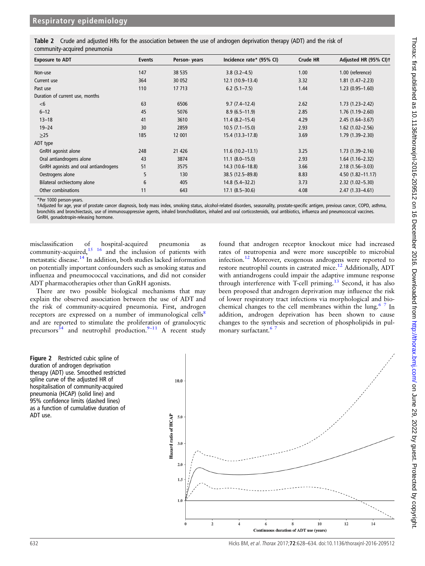<span id="page-4-0"></span>

| Table 2 Crude and adjusted HRs for the association between the use of androgen deprivation therapy (ADT) and the risk of |  |  |  |
|--------------------------------------------------------------------------------------------------------------------------|--|--|--|
| community-acquired pneumonia                                                                                             |  |  |  |

| <b>Exposure to ADT</b>               | Events | Person-years | Incidence rate* (95% CI) | <b>Crude HR</b> | Adjusted HR (95% CI)1 |
|--------------------------------------|--------|--------------|--------------------------|-----------------|-----------------------|
| Non-use                              | 147    | 38 535       | $3.8(3.2 - 4.5)$         | 1.00            | 1.00 (reference)      |
| Current use                          | 364    | 30 052       | $12.1(10.9-13.4)$        | 3.32            | $1.81(1.47 - 2.23)$   |
| Past use                             | 110    | 17 713       | $6.2$ $(5.1 - 7.5)$      | 1.44            | $1.23(0.95 - 1.60)$   |
| Duration of current use, months      |        |              |                          |                 |                       |
| $<$ 6                                | 63     | 6506         | $9.7(7.4-12.4)$          | 2.62            | $1.73(1.23 - 2.42)$   |
| $6 - 12$                             | 45     | 5076         | $8.9(6.5-11.9)$          | 2.85            | $1.76(1.19-2.60)$     |
| $13 - 18$                            | 41     | 3610         | $11.4(8.2 - 15.4)$       | 4.29            | $2.45(1.64 - 3.67)$   |
| $19 - 24$                            | 30     | 2859         | $10.5(7.1-15.0)$         | 2.93            | $1.62$ (1.02-2.56)    |
| $\geq$ 25                            | 185    | 12 001       | 15.4 (13.3–17.8)         | 3.69            | $1.79(1.39 - 2.30)$   |
| ADT type                             |        |              |                          |                 |                       |
| GnRH agonist alone                   | 248    | 21 4 26      | $11.6(10.2-13.1)$        | 3.25            | $1.73(1.39 - 2.16)$   |
| Oral antiandrogens alone             | 43     | 3874         | $11.1 (8.0 - 15.0)$      | 2.93            | $1.64(1.16 - 2.32)$   |
| GnRH agonists and oral antiandrogens | 51     | 3575         | $14.3(10.6-18.8)$        | 3.66            | $2.18(1.56 - 3.03)$   |
| Oestrogens alone                     | 5      | 130          | 38.5 (12.5-89.8)         | 8.83            | $4.50(1.82 - 11.17)$  |
| Bilateral orchiectomy alone          | 6      | 405          | $14.8(5.4 - 32.2)$       | 3.73            | $2.32(1.02 - 5.30)$   |
| Other combinations                   | 11     | 643          | $17.1(8.5-30.6)$         | 4.08            | $2.47(1.33 - 4.61)$   |

\*Per 1000 person-years.

†Adjusted for age, year of prostate cancer diagnosis, body mass index, smoking status, alcohol-related disorders, seasonality, prostate-specific antigen, previous cancer, COPD, asthma, bronchitis and bronchiectasis, use of immunosuppressive agents, inhaled bronchodilators, inhaled and oral corticosteroids, oral antibiotics, influenza and pneumococcal vaccines. GnRH, gonadotropin-releasing hormone.

misclassification of hospital-acquired pneumonia as community-acquired, $15 \text{ 16}$  and the inclusion of patients with metastatic disease[.14](#page-6-0) In addition, both studies lacked information on potentially important confounders such as smoking status and influenza and pneumococcal vaccinations, and did not consider ADT pharmacotherapies other than GnRH agonists.

There are two possible biological mechanisms that may explain the observed association between the use of ADT and the risk of community-acquired pneumonia. First, androgen receptors are expressed on a number of immunological cells<sup>[8](#page-5-0)</sup> and are reported to stimulate the proliferation of granulocytic precursors<sup>[34](#page-6-0)</sup> and neutrophil production.<sup>9-[11](#page-6-0)</sup> A recent study

found that androgen receptor knockout mice had increased rates of neutropenia and were more susceptible to microbial infection.[12](#page-6-0) Moreover, exogenous androgens were reported to restore neutrophil counts in castrated mice.<sup>[12](#page-6-0)</sup> Additionally, ADT with antiandrogens could impair the adaptive immune response through interference with T-cell priming.<sup>13</sup> Second, it has also been proposed that androgen deprivation may influence the risk of lower respiratory tract infections via morphological and bio-chemical changes to the cell membranes within the lung.<sup>[6 7](#page-5-0)</sup> In addition, androgen deprivation has been shown to cause changes to the synthesis and secretion of phospholipids in pulmonary surfactant.<sup>6</sup>



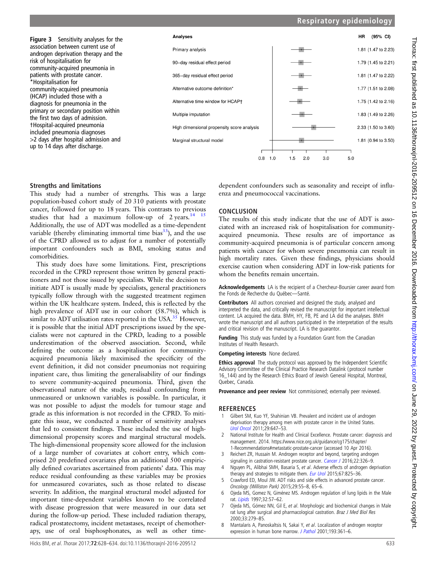<span id="page-5-0"></span>Figure 3 Sensitivity analyses for the association between current use of androgen deprivation therapy and the risk of hospitalisation for community-acquired pneumonia in patients with prostate cancer. \*Hospitalisation for community-acquired pneumonia (HCAP) included those with a diagnosis for pneumonia in the primary or secondary position within the first two days of admission. †Hospital-acquired pneumonia included pneumonia diagnoses >2 days after hospital admission and up to 14 days after discharge.



## Strengths and limitations

This study had a number of strengths. This was a large population-based cohort study of 20 310 patients with prostate cancer, followed for up to 18 years. This contrasts to previous studies that had a maximum follow-up of  $2 \text{ years.}^{14}$  15 Additionally, the use of ADT was modelled as a time-dependent variable (thereby eliminating immortal time bias $33$ ), and the use of the CPRD allowed us to adjust for a number of potentially important confounders such as BMI, smoking status and comorbidities.

This study does have some limitations. First, prescriptions recorded in the CPRD represent those written by general practitioners and not those issued by specialists. While the decision to initiate ADT is usually made by specialists, general practitioners typically follow through with the suggested treatment regimen within the UK healthcare system. Indeed, this is reflected by the high prevalence of ADT use in our cohort (58.7%), which is similar to ADT utilisation rates reported in the USA. $35$  However, it is possible that the initial ADT prescriptions issued by the specialists were not captured in the CPRD, leading to a possible underestimation of the observed association. Second, while defining the outcome as a hospitalisation for communityacquired pneumonia likely maximised the specificity of the event definition, it did not consider pneumonias not requiring inpatient care, thus limiting the generalisability of our findings to severe community-acquired pneumonia. Third, given the observational nature of the study, residual confounding from unmeasured or unknown variables is possible. In particular, it was not possible to adjust the models for tumour stage and grade as this information is not recorded in the CPRD. To mitigate this issue, we conducted a number of sensitivity analyses that led to consistent findings. These included the use of highdimensional propensity scores and marginal structural models. The high-dimensional propensity score allowed for the inclusion of a large number of covariates at cohort entry, which comprised 20 predefined covariates plus an additional 500 empirically defined covariates ascertained from patients' data. This may reduce residual confounding as these variables may be proxies for unmeasured covariates, such as those related to disease severity. In addition, the marginal structural model adjusted for important time-dependent variables known to be correlated with disease progression that were measured in our data set during the follow-up period. These included radiation therapy, radical prostatectomy, incident metastases, receipt of chemotherapy, use of oral bisphosphonates, as well as other time-

dependent confounders such as seasonality and receipt of influenza and pneumococcal vaccinations.

# **CONCLUSION**

The results of this study indicate that the use of ADT is associated with an increased risk of hospitalisation for communityacquired pneumonia. These results are of importance as community-acquired pneumonia is of particular concern among patients with cancer for whom severe pneumonia can result in high mortality rates. Given these findings, physicians should exercise caution when considering ADT in low-risk patients for whom the benefits remain uncertain.

Acknowledgements LA is the recipient of a Chercheur-Boursier career award from the Fonds de Recherche du Québec—Santé.

Contributors All authors conceived and designed the study, analysed and interpreted the data, and critically revised the manuscript for important intellectual content. LA acquired the data. BMH, HY, FB, PE and LA did the analyses. BMH wrote the manuscript and all authors participated in the interpretation of the results and critical revision of the manuscript. LA is the guarantor.

Funding This study was funded by a Foundation Grant from the Canadian Institutes of Health Research.

Competing interests None declared.

Ethics approval The study protocol was approved by the Independent Scientific Advisory Committee of the Clinical Practice Research Datalink (protocol number 16\_144) and by the Research Ethics Board of Jewish General Hospital, Montreal, Quebec, Canada.

Provenance and peer review Not commissioned; externally peer reviewed.

## **REFERENCES**

- Gilbert SM, Kuo YF, Shahinian VB. Prevalent and incident use of androgen deprivation therapy among men with prostate cancer in the United States. [Urol Oncol](http://dx.doi.org/10.1016/j.urolonc.2009.09.004) 2011;29:647–53.
- 2 National Institute for Health and Clinical Excellence. Prostate cancer: diagnosis and management. 2014. [https://www.nice.org.uk/guidance/cg175/chapter/](https://www.nice.org.uk/guidance/cg175/chapter/1-Recommendations#metastatic-prostate-cancer) [1-Recommendations#metastatic-prostate-cancer](https://www.nice.org.uk/guidance/cg175/chapter/1-Recommendations#metastatic-prostate-cancer) (accessed 10 Apr 2016).
- Reichert ZR, Hussain M. Androgen receptor and beyond, targeting androgen signaling in castration-resistant prostate cancer. [Cancer J](http://dx.doi.org/10.1097/PPO.0000000000000214) 2016;22:326-9.
- 4 Nguyen PL, Alibhai SMH, Basaria S, et al. Adverse effects of androgen deprivation therapy and strategies to mitigate them. [Eur Urol](http://dx.doi.org/10.1016/j.eururo.2014.07.010) 2015;67:825-36.
- 5 Crawford ED, Moul JW. ADT risks and side effects in advanced prostate cancer. Oncology (Williston Park) 2015;29:55–8, 65–6.
- 6 Ojeda MS, Gomez N, Giménez MS. Androgen regulation of lung lipids in the Male rat. [Lipids](http://dx.doi.org/10.1007/s11745-997-0009-0) 1997;32:57–62.
- 7 Ojeda MS, Gómez NN, Gil E, et al. Morphologic and biochemical changes in Male rat lung after surgical and pharmacological castration. Braz J Med Biol Res 2000;33:279–85.
- 8 Mantalaris A, Panoskaltsis N, Sakai Y, et al. Localization of androgen receptor expression in human bone marrow. [J Pathol](http://dx.doi.org/10.1002/1096-9896(0000)9999:9999<::AID-PATH803>3.0.CO;2-W) 2001;193:361-6.